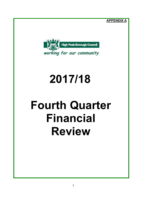**APPENDIX A**



# **2017/18**

# **Fourth Quarter Financial Review**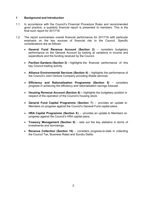## **1 Background and Introduction**

- 1.1 In accordance with the Council's Financial Procedure Rules and recommended good practice, a quarterly financial report is presented to members. This is the final such report for 2017/18.
- 1.2 The report summarises overall financial performance for 2017/18 with particular emphasis on the key sources of financial risk to the Council. Specific considerations are as follows:
	- **General Fund Revenue Account (Section 2)** considers budgetary performance on the General Account by looking at variations in income and expenditure and the funding received by the Council.
	- **Pavilion Gardens (Section 3)** highlights the financial performance of this key Council trading activity.
	- **Alliance Environmental Services (Section 4)** highlights the performance of the Council's Joint Venture Company providing Waste services.
	- **Efficiency and Rationalisation Programme (Section 5)** considers progress in achieving the efficiency and rationalisation savings forecast.
	- **Housing Revenue Account (Section 6) –** highlights the budgetary position in respect of the operation of the Council's housing stock.
	- **General Fund Capital Programme (Section 7)** provides an update to Members on progress against the Council's General Fund capital plans.
	- **HRA Capital Programme (Section 8)** provides an update to Members on progress against the Council's HRA capital plans.
	- **Treasury Management (Section 9)** sets out the key statistics in terms of investments and borrowings.
	- **Revenue Collection (Section 10)** considers progress-to-date in collecting the Council Tax, Business Rates and Sundry Debts.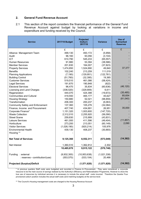#### **2. General Fund Revenue Account**

2.1 This section of the report considers the financial performance of the General Fund Revenue Account against budget by looking at variations in income and expenditure and funding received by the Council.

| <b>Service</b>                          | 2017/18 Budget | <b>Projected</b><br><b>Outturn</b><br>2017/18 | <b>Variance</b> | Use of<br>Earmarked<br><b>Reserves</b> |
|-----------------------------------------|----------------|-----------------------------------------------|-----------------|----------------------------------------|
|                                         | £              | £                                             | £               | £                                      |
| Alliance Management Team                | 499,130        | 493,172                                       | (5,958)         |                                        |
| Audit                                   | 96,160         | 93,056                                        | (3, 104)        |                                        |
| <b>ICT</b>                              | 610,790        | 545,233                                       | (65, 557)       |                                        |
| <b>Human Resources</b>                  | 91,980         | 53,394                                        | (38, 586)       |                                        |
| <b>Member Services</b>                  | 201,830        | 164,007                                       | (37, 823)       |                                        |
| <b>Property Services</b>                | 1,474,850      | 1,524,690                                     | 49,840          | 37,377                                 |
| <b>Benefits</b>                         | 102,240        | 213,259                                       | 111,019         |                                        |
| <b>Planning Applications</b>            | (7, 190)       | (129, 951)                                    | (122, 761)      |                                        |
| <b>Building Control</b>                 | (51, 760)      | (32, 395)                                     | 19,365          |                                        |
| <b>Customer Services</b>                | 519,510        | 461,086                                       | (58, 424)       |                                        |
| <b>Legal Services</b>                   | 191,670        | 190,848                                       | (822)           |                                        |
| <b>Electoral Services</b>               | 96,470         | 35,834                                        | (60, 636)       | (46, 120)                              |
| Licensing and Land Charges              | (336, 520)     | (329, 909)                                    | 6,611           |                                        |
| Regeneration                            | 444,070        | 424,398                                       | (19, 672)       | (35, 485)                              |
| <b>Communities and Cultural</b>         | 419,550        | 465,177                                       | 45,627          | 85,654                                 |
| <b>Housing Strategy</b>                 | 150,880        | 52,021                                        | (98, 859)       | (81,040)                               |
| Transformation                          | 206,300        | 200,237                                       | (6,063)         |                                        |
| <b>Community Safety and Enforcement</b> | 137,360        | 105,276                                       | (32,084)        |                                        |
| Finance, Income and Procurement         | 407,740        | 434,691                                       | 26,951          | 35,000                                 |
| Corporate Finance*                      | 1,151,320      | 1,003,600                                     | (147, 720)      |                                        |
| <b>Waste Collection</b>                 | 2,312,010      | 2,255,920                                     | (56,090)        |                                        |
| <b>Street Scene</b>                     | 259,830        | 215,999                                       | (43, 831)       |                                        |
| Leisure Services                        | 461,000        | 411,596                                       | (49, 404)       | (11, 857)                              |
| Horticulture                            | 273,200        | 213,051                                       | (60, 149)       | 2,090                                  |
| <b>Visitor Services</b>                 | (1,026,190)    | (920, 214)                                    | 105,976         |                                        |
| <b>Environmental Health</b>             | 439,130        | 408,237                                       | (30, 893)       |                                        |
| Housing **                              |                |                                               |                 |                                        |
| <b>Net Total of Services</b>            | 9,125,360      | 8,552,311                                     | (573, 049)      | (14, 382)                              |
| Net Interest                            | 1,360,510      | 1,362,812                                     | 2,302           |                                        |
|                                         | 10,485,870     | 9,915,122                                     | (570, 748)      |                                        |
| Funding<br>: external                   | (9,932,300)    | (10, 953, 638)                                | (1,021,338)     |                                        |
| : reserves - contribution/(use)         | (553, 570)     | (533, 104)                                    | 20,466          |                                        |
| <b>Projected (Surplus)/Deficit</b>      | $\blacksquare$ | (1,571,620)                                   | (1,571,620)     | (14, 382)                              |

\* In previous quarters Staff costs were budgeted and recorded in Finance & Procurement. They were considered a corporate resource to be the main source of savings realised by the Authority's Efficiency and Rationalisation Programme, However to show the true use of resources by individual services it is necessary to include the actual staff costs incurred. Therefore the Quarter Four provisional outturn position includes the actual staff costs (and matching budgets) at the service level.

\*\* The Council's Housing management costs are charged to the Housing Revenue Account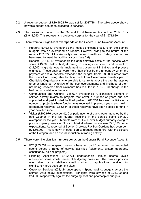- 2.2 A revenue budget of £10,485,870 was set for 2017/18. The table above shows how this budget has been allocated to services.
- 2.3 The provisional outturn on the General Fund Revenue Account for 2017/18 is £8,914,250. This represents a projected surplus for the year of £1,571,620.
- 2.4 There were four significant **overspends** on the General Fund Revenue Account:
	- Property (£49,840 overspend); the most significant pressure on the service budgets was an overspend on repairs. However owing to the nature of the repairs £37,377 of the Authority's earmarked Health and Safety reserve has been used to meet the additional costs (see 2.6).
	- Benefits (£111,019 overspend); the administrative costs of the service were some £43,000 below budget owing to savings on spend and receipt of £42,000 in grants towards implementing government initiatives and process changes. These savings were more than offset by the amount by which the payment of actual benefits exceeded the budget. Some £90,000 arose from the Council not being able to claim back from Government benefits paid to Charitable Organisations who are able to set rents above the cap that applies to other landlords. A review of the level overpayments and likelihood of them not being recovered from claimants has resulted in a £69,000 charge to the bad debts provision in the year.
	- Communities and Cultural (£45,627 overspend); A significant element of service activity relates to projects that cover a number of years and are supported and part funded by third parties. 2017/18 has seen activity on a number of projects where funding was received in previous years and held in earmarked reserves. £85,654 of these reserves have been applied to fund in year activities (see 2.6)
	- Visitor (£105,976 overspend); Car park income streams were impacted by the bad weather in the last quarter resulting in the service being £14,230 overspent for the year. Markets were £31,250 over budget primarily owing to poor occupancy levels at Glossop Market where income was £25,000 below expectations. As reported at Section 3 below, Pavilion Gardens has overspent by £60,000. This is down in equal part to reduced room hire, with the closure of the Octagon, and an overall reduction in trading activity.
- 2.5 There were nine significant **underspends** on the General Fund Revenue Account:
	- ICT (£65,557 underspend); savings have accrued from lower than expected spend across a range of service activities (telephony, system upgrades, consultancy, ad-hoc projects).
	- Planning Applications (£122,761 underspend): Robust income levels outstripped some smaller areas of budgetary pressure. The positive position was driven by a relatively small number of applications received for significantly large development sites.
	- Customer Services (£58,424 underspend); Spend against budgets across the service were below expectations. Highlights were savings of £24,000 and £14,000 respectively against the outgoing post and photocopier budgets.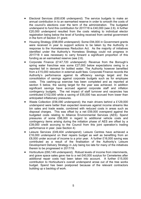- Electoral Services (£60,636 underspend): The service budgets to make an annual contribution in to an earmarked reserve in order to smooth the costs of the council's elections over the term of the administration. The budgeted underspend to fund this contribution for 2017/18 is £40,000 (see 2.6). A further £20,000 underspend resulted from the costs relating to individual elector registration being below the level of funding received from central government in the form of Section 31 grant.
- Housing Strategy (£98,859 underspend): Some £94,000 in Government grants were received in year to support actions to be taken by the Authority in response to the Homelessness Reduction Act. As the majority of initiatives identified under the Authority's Homeless Strategy could not progress in 2017/18 it was necessary to carry forward a significant proportion of this funding as an earmarked reserve (see 2.6).
- Corporate Finance (£147,720 underspend): Revenue from the Borough's spring water franchise was some £27,000 below expectations owing to a reported fall in demand for bottled water. The Authority however benefited from a £15,000 reduction in external audit fees. Corporate Finance records the Authority's performance against its efficiency savings target and the consolidation of savings against corporate budgets such as for employee costs. This cashing-up exercise has been completed and as reported at section 5 below, the saving target for the year was achieved. In addition significant savings have accrued against corporate staff and inflation contingency budgets. The net impact of staff turnover and vacancies has contributed £102,000 while a saving of £55,000 has accrued from lower than anticipated inflationary pressures.
- Waste Collection (£56,090 underspend); the main drivers behind a £129,000 underspend were better than expected revenues against income streams like bin sales and trade waste, combined with reduced costs in areas such as disposal charges. This was offset by a net £59,000 overspend against the budgeted costs relating to Alliance Environmental Services (AES). Spend pressures of some £98,000 in regard to additional vehicle costs and contingency items arising during the initiation phase of AES are offset by a £39,000 credit accruing to the Council from this joint operation's trading performance in year. (see Section 4)
- Leisure Services (£49,404 underspend); Leisure Centres have achieved a £16,000 underspend on their repairs budget as well as benefiting from an £8,000 under accrual of income to a prior year. A further £16,000 saving was contributed as a result of the finalisation of the Authority's Leisure Development Delivery Strategy in July being too late for many of the initiatives therein to be progressed in 2017/18.
- Horticulture (£60,149 underspend); Robust levels of income from internments, and grave space sales gave rise to a net £40,000 surplus for Cemeteries after additional repair costs had been taken into account. A further £15,000 contribution to Horticulture's overall underspend arose out of the tree works budget. Spend has been postponed because of the relevant contractors building up s backlog of work.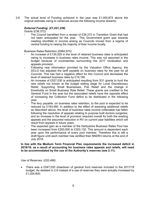2.6 The actual level of Funding achieved in the year was £1,000,872 above the original estimate owing to variances across the following income streams;

# *External Funding: (£1,021,338)*

Grants (£36,372):

The Council benefited from a receipt of £36,372 in Transition Grant that had not been anticipated for the year. This Government grant was towards meeting shortfalls in income arising as Councils moved from a regime of central funding to raising the majority of their income locally.

Business Rates Retention (£984,970):

- An increase of £130,520 in the level of retained business rates is anticipated owing to increases in business rates income. This was not assumed in the budget because of uncertainties surrounding the 2017 revaluation and appeals provision.
- Following new information provided by the Valuation Office Agency, the DCLG has adjusted the tariff payable on business rates for the year for all Councils. This has had a negative effect for this Council and decreases the level of retained business rates by £19,190.
- An increase of £527,030 is anticipated resulting from S31 grants to fund the new reliefs not known at the budget setting stage for Local Discretionary Relief, Supporting Small Businesses, Pub Relief and the change in thresholds on Small Business Rate Relief. These grants are credited to the General Fund in the year but the associated reliefs have the opposite effect of increasing the Collection Fund deficit to be distributed in the following year.
- The levy payable, on business rates retention, to the pool is expected to be reduced by £193,480. In addition to the effect of awarding additional reliefs as described above, the level of business rates income collectable has fallen following the resolution of appeals relating to purpose built doctors surgeries; and an increase in the level of provision required overall for both the existing appeals and the assumed reduction in RV on current year liabilities which will result from appeals in future years.
- The expected gain as a member of the Derbyshire Business Rates Pool has been increased from £200,000 to £353,130. This amount is dependent each year upon the performance of every pool member. Therefore this is still a draft figure until each member has certified their NNDR3 returns at the end of July 2018.

**In line with the Medium Term Financial Plan requirements the increased deficit in 2018/19, as a result of accounting for business rates appeals and reliefs, will need to be accommodated by the use of the Authority's reserves (see 2.11).**

#### *Use of Reserves: (£20,466)*

 There was a £547,020 drawdown of general fund reserves included in the 2017/18 budget. As detailed in 2.8 instead of a use of reserves they were actually increased by £1,024,600.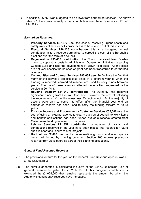In addition, £6,550 was budgeted to be drawn from earmarked reserves. As shown in table 2.1 there was actually a net contribution into these reserves in 2017/18 of £14,382:-

## *Earmarked Reserves:*

- **Property Services £37,377 use:** the cost of resolving urgent health and safety works at the Council's properties is to be covered out of this reserve.
- **Electoral Services £46,120 contribution:** this is a budgeted annual contribution in to a reserve earmarked to spread the cost of the Borough's elections over the term of a council.
- **Regeneration £35,485 contribution:** the Council received New Burden grants to support its costs in administering Government initiatives regarding Custom Build and also the development of Brown field sites. As the costs are not year specific the balance of grant has been transferred to earmarked reserves.
- **Communities and Cultural Services £85,654 use:** To facilitate the fact that many of the service's projects take place in a different year to when the funding is received, earmarked reserve are used to carry funds between years. The use of these reserves reflected the activities progressed by the service in 2017/18.
- **Housing Strategy £81,040 contribution:** The Authority has received significant funding from Central Government towards the cost of satisfying the requirements of the Homelessness Reduction Act. As the majority of actions were only to come into effect after the financial year end an earmarked reserve has been used to carry the funding forward to future years
- **Finance, Income and Procurement / Customer Services £35,000 use:** the cost of using an external agency to clear a backlog of council tax work items and benefit applications has been funded out of a reserve created from Government funding received in prior years.
- **Leisure Services £11,857 contribution:** a number of grants and contributions received in the year have been placed into reserve for future specific sport and leisure related projects.
- **Horticulture £2,090 use:** works on recreation grounds and open spaces were part funded by drawing down on Section 106 monies previously received from Developers as part of their planning obligations.

#### *General Fund Revenue Reserves*

- 2.7 The provisional outturn for the year on the General Fund Revenue Account was a £1,571,620 surplus.
- 2.8 The surplus generated is calculated inclusive of the £547,020 nominal use of general reserves budgeted for in 2017/18. If this budgeted contribution is excluded the £1,024,600 that remains represents the amount by which the Authority's contingency reserves have increased.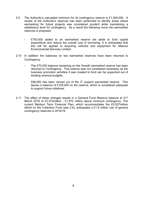- 2.9 The Authority's calculated minimum for its contingency reserve is £1,300,000. A review of the Authority's reserves has been performed to identify areas where earmarking for future projects was considered prudent while maintaining a satisfactory level for contingency. As a result the following move into earmarked reserves is proposed;
	- £750,000 added to an earmarked reserve set aside to fund capital expenditure and reduce the overall cost of borrowing. It is anticipated that this will be applied to acquiring vehicles and equipment for Alliance Environmental Services Limited.
- 2.10 In addition the balances on two earmarked reserves have been returned to Contingency.
	- The £70,000 balance remaining on the Growth earmarked reserve has been returned to Contingency. This reserve was not considered necessary as the business promotion activities it was created to fund can be supported out of existing revenue budgets.
	- £96,000 has been moved out of the IT support earmarked reserve. This leaves a balance of £100,000 on the reserve, which is considered adequate to support future initiatives.
- 2.11 The effect of these changes results in a General Fund Reserve balance at  $31^{st}$ March 2018 of £3.273million - £1.973 million above minimum contingency. The current Medium Term Financial Plan, which accommodates the £0.527million deficit on the Collection Fund (see 2.6), anticipates a £1.8 million use of general contingency reserves in 2018/19.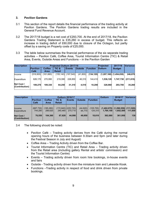## **3. Pavilion Gardens**

- 3.1 This section of the report details the financial performance of the trading activity at Pavilion Gardens. The Pavilion Gardens trading results are included in the General Fund Revenue Account.
- 3.2 The 2017/18 budget is a net cost of £293,700. At the end of 2017/18, the Pavilion Gardens Trading Statement is £35,260 in excess of budget. This reflects an increase in trading deficit of £60,000 due to closure of the Octagon, but partly offset by a saving on Property costs of £25,000.
- 3.3 The table below summarises the financial performance of the six separate trading activities – Pavilion Café, Coffee Area, Tourist Information Centre (TIC) & Retail Area, Events, Outside Areas and Functions – in the Pavilion Garden

| <b>Description</b><br><b>Projected Outturn 2017/18</b> |                         |                       |                        |               |                |                 | Projected      | <b>Variancel</b>            |            |
|--------------------------------------------------------|-------------------------|-----------------------|------------------------|---------------|----------------|-----------------|----------------|-----------------------------|------------|
|                                                        | <b>Pavilion</b><br>Café | <b>Coffee</b><br>Area | TIC &<br><b>Retail</b> | <b>Events</b> | <b>Outside</b> | <b>Function</b> | <b>Outturn</b> | <b>Budget</b>               |            |
| llncome                                                | (516,900)               | (161,660)             | (155, 140)             | (197.540)     | (41,800)       | (134, 120)      |                | $(1,207,160)$ $(1,454,030)$ | 246,870    |
| Expenditure                                            | 626.170                 | 270.990               | 219,390                | 228,850       | 46.310         | 144,410         | 1,536,120      | 1,747,730                   | (211, 610) |
| Net Cost /<br>$ $ (Contribution)                       | 109.270                 | 109.330               | 64.250                 | 31,310        | 4.510          | 10.290          | 328,960        | 293.700                     | 35,260     |

| <b>Description</b><br><b>Outturn 2016/17</b> |                       |                              |                        |                                   | <b>Outturn</b>      | 2016/17               | Variance  |                                                      |         |
|----------------------------------------------|-----------------------|------------------------------|------------------------|-----------------------------------|---------------------|-----------------------|-----------|------------------------------------------------------|---------|
|                                              | Pavilion<br>Café      | <b>Coffee</b><br><b>Area</b> | TIC &<br><b>Retail</b> | <b>Events</b>                     | <b>Outside</b>      | Function              |           | <b>Budget</b>                                        |         |
| <b>Income</b><br>Expenditure                 | (667, 730)<br>744.280 | (185,260)<br>289.620         | 240.460                | $(172, 840)$ (225,720)<br>270.710 | (44, 820)<br>94.770 | (105, 700)<br>124.310 | 1.764.150 | $(1,402,070)$ $(1,290,550)$ $(111,520)$<br>1.652.500 | 111,650 |
| <b>Net Cost /</b><br>(Contribution)          | 76,550                | 104.360                      | 67,620                 | 44,990                            | 49.950              | 18.610                | 362.080   | 361,950                                              | 130     |

- 3.4 The following should be noted:
	- Pavilion Café Trading activity derives from the Café during the normal opening hours of the business between 9.30am and 5pm (and later during the Festival Season in July and August)
	- Coffee Area Trading Activity driven from the Coffee Bar.
	- Tourist Information Centre (TIC) and Retail Area Trading activity driven from the Retail area (including gallery Rental and artists' commission) and the Tourist Information Centre)
	- Events Trading activity driven from room hire bookings, in-house events and fairs
	- Outside Trading activity driven from the miniature train and Lakeside Kiosk.
	- Functions –Trading activity in respect of food and drink driven from private bookings.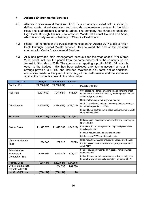#### **4 Alliance Environmental Services**

- 4.1 Alliance Environmental Services (AES) is a company created with a vision to deliver waste, street cleansing and grounds maintenance services in the High Peak and Staffordshire Moorlands areas. The company has three shareholders: High Peak Borough Council, Staffordshire Moorlands District Council and Ansa, which is a wholly owned subsidiary of Cheshire East Council.
- 4.2 Phase 1 of the transfer of services commenced on 7th August 2017 to deliver High Peak Borough Council Waste services. This followed the end of the previous contract with Veolia Environmental Services.
- 4.3 AES has provided draft management accounts for the year ended 31st March 2018, which includes the period from the commencement of the company on 7th August to 31st March 2018. The company is reporting a profit of £38,134 which is equal to the budget – this has been achieved after taking account of year 1 savings payable to HPBC and includes crystallised risk items net of additional efficiencies made in the year. A summary of the performance and the variances against the budget is shown in the table below:

| 2017-18                | <b>Budget</b>  | <b>Draft Outturn</b> | <b>Variance</b> |                                                                                                                                                  |
|------------------------|----------------|----------------------|-----------------|--------------------------------------------------------------------------------------------------------------------------------------------------|
| <b>Contract Fee</b>    | (E1, 818, 854) | (E1, 818, 854)       |                 | Payable by HPBC                                                                                                                                  |
| <b>Risk Plan</b>       | (E127,000)     | (E41, 524)           | £85,476         | Crystallised risk items on vacancies and pensions offset<br>by additional efficiencies made by the company in excess<br>of the budgeted surplus. |
|                        |                |                      |                 | Net £47k from improved recycling income;                                                                                                         |
| Other Income           | (E325,907)     | (E394, 941)          | (E69, 034)      | Net £17k additional workshop income (offset by reduction<br>in fuel rechargeable to HPBC);                                                       |
|                        |                |                      |                 | £5k additional contribution to setup costs incurred by AES,<br>chargeable to Ansa.                                                               |
| <b>Turnover</b>        | (E2, 271, 761) | (E2, 255, 319)       | £16,442         |                                                                                                                                                  |
|                        |                |                      |                 | £60k reduction resulting from removal of one Round, plus<br>spare vehicle.                                                                       |
| <b>Cost of Sales</b>   | £1,940,875     | £1,846,359           | (E94, 516)      | £20k reduction in haulage costs - improved payload on<br>recycling disposal;                                                                     |
|                        |                |                      |                 | £18k net reduction in salary/ pension costs;                                                                                                     |
|                        |                |                      |                 | £3k increased PPE and bin stock costs                                                                                                            |
| Charges levied by      |                |                      |                 | £2.5k reduction on Ansa charges on vehicle overheads;                                                                                            |
| Ansa                   | £74,345        | £77,018              | £2,673          | £5k increased costs on external support (management/<br>admin/HR).                                                                               |
| Administrative         |                |                      |                 | £4k net saving on vacant admin post covered by Ansa                                                                                              |
| Expenses &             | £218,407       | £229,418             | £11,011         | admin support;                                                                                                                                   |
| <b>Corporation Tax</b> |                |                      |                 | £16k additional payroll bureau costs - delayed migration<br>to monthly payroll originally expected November 2017.                                |
| (Profit)/ Loss         | (E38, 134)     | (E102, 524)          | (E64, 390)      |                                                                                                                                                  |
| Y1 pro-rata savings    |                | £64,390              | £64,390         |                                                                                                                                                  |
| payable to HPBC        |                |                      |                 |                                                                                                                                                  |
| Net (Profit)/ Loss     | (E38, 134)     | (E38, 134)           | £0              |                                                                                                                                                  |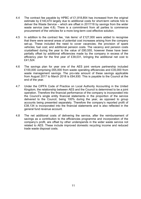- 4.4 The contract fee payable by HPBC of £1,818,854 has increased from the original estimate by £140,474 largely due to additional costs for short-term vehicle hire to deliver the Waste Service – which are offset in 2017/18 by savings from the wider waste service (see 4.8). There is a commitment from all parties to commence procurement of the vehicles for a more long-term cost effective solution.
- 4.5 In addition to the contract fee, 'risk items' of £127,000 were added to recognise that there were several areas of potential cost increases arising from the company set-up. These included the need to cover vacancies; the provision of spare vehicles; fuel cost; and additional pension costs. The vacancy and pension costs crystallised during the year to the value of £80,555, however these have been partially offset by additional efficiencies made by the company in excess of the efficiency plan for the first year of £39,031, bringing the additional net cost to £41,524.
- 4.6 The savings plan for year one of the AES joint venture partnership included £100,000 comprising £65,000 from waste operating efficiencies and £35,000 from waste management savings. The pro-rata amount of these savings applicable from August 2017 to March 2018 is £64,930. This is payable to the Council at the end of the year.
- 4.7 Under the CIPFA Code of Practice on Local Authority Accounting in the United Kingdom, the relationship between AES and the Council is determined to be a joint operation. Therefore the financial performance of the company is incorporated into the Council's single entity financial statements in the proportion of the service delivered to the Council, being 100% during the year, as opposed to group accounts being presented separately. Therefore the company's reported profit of £38,134 is incorporated into the financial statements and is also reflected in the general fund revenue account.
- 4.8 The net additional costs of delivering the service, after the reimbursement of savings as a contribution to the efficiencies programme and incorporation of the company's profit, are offset by other underspends in the wider waste service not related to AES. These include improved domestic recycling income and reduced trade waste disposal costs.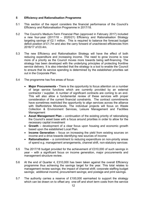# **5 Efficiency and Rationalisation Programme**

- 5.1 This section of the report considers the financial performance of the Council's Efficiency and Rationalisation Programme in 2017/18.
- 5.2 The Council's Medium-Term Financial Plan (approved in February 2017) included a new four-year (2017/18 – 2020/21) Efficiency and Rationalisation Strategy targeting savings of £2.1 million. This is required to balance the forecast budget deficit position of £1.7m and also the carry forward of unachieved efficiencies from 2016/17 of £0.4m.
- 5.3 The new Efficiency and Rationalisation Strategy will have the effect of both reducing expenditure and increasing income. The need to grow income is now more of a priority as the Council moves more towards being self-financing. The strategy has been developed with the underlying principles of protecting frontline service delivery. It is also intended that the strategy is a tool to enable the Council to ensure that its service spending is determined by the established priorities set out in the Corporate Plan.
- 5.4 The programme has five areas of focus:
	- **Major Procurements -** There is the opportunity to focus attention on a number of large service functions which are currently provided by an external contractor / supplier. A number of significant contracts are coming to an end. This will also allow a fundamental review of these services with proper consideration of the current financial constraints. The contract commitments have sometimes restricted the opportunity to align services across the alliance with Staffordshire Moorlands. The individual projects will focus on Waste Collection & Environment Services, Leisure Management and Facilities **Management**
	- **Asset Management Plan –** continuation of the existing priority of rationalising the Council's asset base with a focus around priorities in order to allow for the necessary capital investment
	- **Growth –** development of a clear focus upon housing and economic growth based upon the established Local Plan.
	- **Income Generation** focus on increasing the yield from existing sources on income and a drive towards identifying new sources of income
	- **Rationalisation** a commitment to reducing expenditure on non-priority areas of spend e.g. management arrangements, channel shift, non-statutory services
- 5.5 The 2017/18 budget provided for the achievement of £310,000 of such savings in year – with a significant focus on income generation, major procurements and management structure review.
- 5.6 At the end of Quarter 4, £310,000 has been taken against the overall Efficiency programme thus achieving the savings target for the year. This total relates to management review savings; the impact of channel shift; corporate staffing budget savings; additional income; procurement savings; and postage and print savings.
- 5.7 The authority carries a reserve of £100,000 earmarked to support the strategy which can be drawn on to offset any one-off and short term costs from the service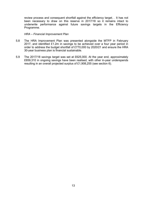review process and consequent shortfall against the efficiency target. . It has not been necessary to draw on this reserve in 2017/18 so it remains intact to underwrite performance against future savings targets in the Efficiency Programme.

#### *HRA – Financial Improvement Plan*

- 5.8 The HRA Improvement Plan was presented alongside the MTFP in February 2017, and identified £1.2m in savings to be achieved over a four year period in order to address the budget shortfall of £770,000 by 2020/21 and ensure the HRA 30-year business plan is financial sustainable.
- 5.9 The 2017/18 savings target was set at £625,000. At the year end, approximately £659,310 in ongoing savings have been realised, with other in-year underspends resulting in an overall projected surplus of £1,908,255 (see section 6).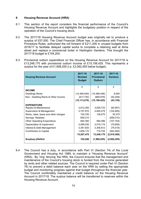# **6 Housing Revenue Account (HRA)**

- 6.1 This section of the report considers the financial performance of the Council's Housing Revenue Account and highlights the budgetary position in respect of the operation of the Council's housing stock.
- 6.2 The 2017/18 Housing Revenue Account budget was originally set to produce a surplus of £57,000. The Chief Financial Officer has, in accordance with Financial Procedure Rules, authorised the roll forward of £211,200 in unused budgets from 2016/17 to facilitate delayed capital works to complete a retaining wall at Alma street and replace a commercial boiler in Hartington Gardens. This brought the 2017/18 budget to £154,200.
- 6.3 Provisional outturn expenditure on the Housing Revenue Account for 2017/18 is £13,248,170 with provisional outturn income of £15,156,425. This represents a surplus for the year of £1,908,255 (i.e. £2,062,455 below budget).

| <b>Housing Revenue Account</b>        | 2017-18<br><b>Revised</b><br><b>Budget</b> | 2017-18<br><b>Provisional</b><br>Outturn | 2017-18<br><b>Variance</b> |
|---------------------------------------|--------------------------------------------|------------------------------------------|----------------------------|
|                                       | £                                          | £                                        | £                          |
| <b>INCOME</b>                         |                                            |                                          |                            |
| <b>Dwellings Rents</b>                | (14, 495, 540)                             | (14, 486, 446)                           | 9,094                      |
| Non - Dwelling Rents & Other Income   | (617, 730)                                 | (669, 979)                               | (52, 249)                  |
|                                       | (15, 113, 270)                             | (15, 156, 425)                           | (43, 155)                  |
| <b>EXPENDITURE</b>                    |                                            |                                          |                            |
| Repairs & Maintenance                 | 3,912,300                                  | 3,829,733                                | (82, 567)                  |
| Supervision & Management              | 2,757,970                                  | 2,655,275                                | (102, 695)                 |
| Rents, rates, taxes and other charges | 105,700                                    | 136,075                                  | 30,375                     |
| Savings Realised                      | 659,310                                    |                                          | (659, 310)                 |
| <b>Other Operating Expenditure</b>    | 692,360                                    | 584,596                                  | (107, 764)                 |
| Depreciation & Impairment             | 2,099,030                                  | 2,019,174                                | (79, 856)                  |
| Interest & Debt Management            | 3,381,630                                  | 3,306,612                                | (75, 018)                  |
| Contribution to Capital               | 1,659,170                                  | 716,705                                  | (942, 465)                 |
|                                       | 15,267,470                                 | 13,248,170                               | (2,019,300)                |
| Surplus(-)/Deficit                    | 154,200                                    | (1,908,255)                              | (2,062,455)                |

6.4 The Council has a duty, in accordance with Part VI (Section 74) of the Local Government and Housing Act 1989, to maintain a "Housing Revenue Account" (HRA). By "ring -fencing' the HRA, the Council ensures that the management and maintenance of the Council's housing stock is funded from the income generated by rents and other related sources. The Council is required under Part VI (Section 76) to prevent a debit balance each year on the HRA by setting the appropriate budget and monitoring progress against that budget throughout the financial year. The Council comfortably maintained a credit balance on the Housing Revenue Account in 2017/18. The surplus balance will be transferred to reserves within the Housing Revenue Account.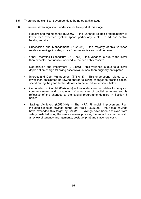- 6.5 There are no significant overspends to be noted at this stage.
- 6.6 There are seven significant underspends to report at this stage.
	- Repairs and Maintenance  $(E82,567)$  this variance relates predominantly to lower than expected cyclical spend particularly related to ad hoc central heating repairs.
	- Supervision and Management (£102,695) the majority of this variance relates to savings in salary costs from vacancies and staff turnover.
	- Other Operating Expenditure (£107,764) this variance is due to the lower than expected contribution needed to the bad debts reserve.
	- Depreciation and Impairment  $(E79,856)$  this variance is due to a lower depreciation charge following asset revaluations, than originally anticipated.
	- Interest and Debt Management  $(E75.018)$  This underspend relates to a lower than anticipated borrowing charge following changes to profiled capital spend during the year; further details can be found in Section 9 below.
	- Contribution to Capital (£942,465) This underspend is relates to delays in commencement and completion of a number of capital schemes and is reflective of the changes to the capital programme detailed in Section 8 below.
	- Savings Achieved (£659,310) The HRA Financial Improvement Plan included expected savings during 2017/18 of £625,000 - the actual savings have exceeded this target by £34,310. Savings have been achieved from salary costs following the service review process, the impact of channel shift, a review of tenancy arrangements, postage, print and stationery costs.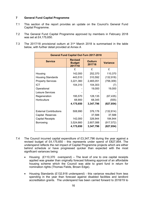## **7 General Fund Capital Programme**

- 7.1 This section of the report provides an update on the Council's General Fund Capital Programme.
- 7.2 The General Fund Capital Programme approved by members in February 2018 was set at £4,175,650.
- 7.3 The 2017/18 provisional outturn at 31st March 2018 is summarised in the table below, with further detail provided at Annex A

| <b>General Fund Capital Out-Turn 2017-2018</b> |                                            |                          |                 |  |  |  |  |  |
|------------------------------------------------|--------------------------------------------|--------------------------|-----------------|--|--|--|--|--|
| <b>Service</b>                                 | <b>Revised</b><br><b>Budget</b><br>2017/18 | <b>Outturn</b><br>201718 | <b>Variance</b> |  |  |  |  |  |
|                                                | £                                          | £                        | £               |  |  |  |  |  |
| Housing                                        | 142,000                                    | 252,370                  | 110,370         |  |  |  |  |  |
| <b>Housing Standards</b>                       | 443,510                                    | 310,592                  | (132, 918)      |  |  |  |  |  |
| <b>Property Services</b>                       | 3,221,360                                  | 2,465,051                | (756, 309)      |  |  |  |  |  |
| <b>ICT</b>                                     | 104,310                                    | 104,303                  | (7)             |  |  |  |  |  |
| Operational                                    |                                            | 19,000                   | 19,000          |  |  |  |  |  |
| Leisure Services                               |                                            |                          |                 |  |  |  |  |  |
| Regeneration                                   | 195,570                                    | 128,135                  | (67, 435)       |  |  |  |  |  |
| Horticulture                                   | 68,900                                     | 68,345                   | (555)           |  |  |  |  |  |
|                                                | 4,175,650                                  | 3,347,796                | (827, 854)      |  |  |  |  |  |
| <b>External Contributions</b>                  | 508,990                                    | 376,176                  | (132, 814)      |  |  |  |  |  |
| Capital Reserves                               |                                            | 37,588                   | 37,588          |  |  |  |  |  |
| <b>Capital Receipts</b>                        | 142,000                                    | 326,944                  | 184,944         |  |  |  |  |  |
| <b>Borrowing</b>                               | 3,524,660                                  | 2,607,088                | (917, 572)      |  |  |  |  |  |
|                                                | 4,175,650                                  | 3,347,796                | (827, 854)      |  |  |  |  |  |

- 7.4 The Council incurred capital expenditure of £3,347,796 during the year against a revised budget of £4,175,650 - this represents under spend of £827,854. The underspend reflects the net impact of Capital Programme projects which are either behind schedule or have progressed quicker than expected with the most significant variances being:
	- Housing (£110,370 overspend) The level of one to one capital receipts applied was greater than originally forecast following approval of an affordable housing scheme which the Council was able to grant fund in return for nomination rights (Thomas Fields, Brown Edge).
	- Housing Standards (£132,918 underspend) this variance resulted from less spending in the year than forecast against disabled facilities and landlord accreditation grants. The underspend has been carried forward to 2018/19 to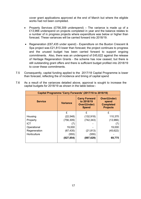cover grant applications approved at the end of March but where the eligible works had not been completed.

- Property Services (£756,309 underspend) The variance is made up of a £13,966 underspend on projects completed in year and the balance relates to a number of in progress projects where expenditure was below or higher than forecast. These variances will be carried forward into 2018/19.
- Regeneration (£67,435 under spend) Expenditure on the Buxton Crescent & Spa project was £21,813 lower than forecast; the project continues to progress and the unused budget has been carried forward to support ongoing commitments. Also, there was an underspend of £45,622 against the release of Heritage Regeneration Grants - the scheme has now ceased, but there is still outstanding grant offers and there is sufficient budget profiled into 2018/19 to cover these commitments.
- 7.5 Consequently, capital funding applied to the 2017/18 Capital Programme is lower than forecast, reflecting the of incidence and timing of capital spend

| Capital Programme 'Carry Forwards' (2017/18 to 2018/19) |                 |                                                                           |                                                                     |  |  |  |  |
|---------------------------------------------------------|-----------------|---------------------------------------------------------------------------|---------------------------------------------------------------------|--|--|--|--|
| <b>Service</b>                                          | <b>Variance</b> | <b>Carry Forward</b><br>to 2018/19<br><b>Over/(Under)</b><br><b>Spend</b> | <b>Over/(Under)</b><br>spend<br><b>Completed</b><br><b>Projects</b> |  |  |  |  |
|                                                         | £               | £                                                                         | £                                                                   |  |  |  |  |
| Housing                                                 | (22, 548)       | (132, 918)                                                                | 110,370                                                             |  |  |  |  |
| Property                                                | (756, 309)      | (742, 343)                                                                | (13,966)                                                            |  |  |  |  |
| <b>ICT</b>                                              | (7)             |                                                                           | (7)                                                                 |  |  |  |  |
| Operational                                             | 19,000          |                                                                           | 19,000                                                              |  |  |  |  |
| Regeneration                                            | (67, 435)       | (21, 813)                                                                 | (45, 622)                                                           |  |  |  |  |
| Horticulture                                            | (555)           | (555)                                                                     |                                                                     |  |  |  |  |
|                                                         | (827, 854)      | (897, 629)                                                                | 69,775                                                              |  |  |  |  |

7.6 As a result of the variances detailed above, approval is sought to increase the capital budgets for 2018/19 as shown in the table below:-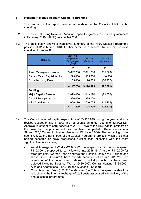# **8 Housing Revenue Account Capital Programme**

- 8.1 This section of the report provides an update on the Council's HRA capital spending.
- 8.2 The revised Housing Revenue Account Capital Programme approved by members in February 2018 (MTFP) was £4,147,200
- 8.3 The table below shows a high level summary of the HRA Capital Programme position at 31st March 2018. Further detail on a scheme by scheme basis is contained in Annex B.

| <b>Scheme</b>                     | 2017/18<br><b>Approved</b><br><b>Budget per</b><br><b>MTFP</b> | 2017-18<br>Outturn | 2017/18<br><b>Variance</b> |
|-----------------------------------|----------------------------------------------------------------|--------------------|----------------------------|
|                                   | £                                                              | £                  | £                          |
| <b>Asset Management Works</b>     | 3,697,200                                                      | 2,691,280          | (1,005,920)                |
| <b>Repairs Team Capital Works</b> | 295,000                                                        | 335,536            | 40,536                     |
| <b>Commissioning Fees</b>         | 155,000                                                        | 98,063             | (56, 937)                  |
|                                   | 4,147,200                                                      | 3,124,879          | (1,022,321)                |
| Funding:                          |                                                                |                    |                            |
| <b>Major Repairs Reserve</b>      | 2,099,030                                                      | 2,019,174          | (79, 856)                  |
| <b>Capital Receipts Applied</b>   | 389,000                                                        | 389,000            |                            |
| <b>HRA Contribution</b>           | 1,659,170                                                      | 716,705            | (942, 465)                 |
|                                   | 4,147,200                                                      | 3,124,879          | (1,022,321)                |

- 8.4 The Council incurred capital expenditure of £3,124,879 during the year against a revised budget of £4,147,200; this represents an under spend of £1,022,321. Approval is sought to carry forward to 2018/19 two of the HRA capital projects on the basis that the procurement has now been completed. These are Scooter Stores (£75,000) and Lightening Protection Works (40,000). The remaining under spend reflects the net impact of the Capital Programme projects which are either behind schedule or have progressed quicker than expected with the most significant variances being:
	- Asset Management Works (£1,005,920 underspend) Of this underspend, £115,000 is proposed to carry forward into 2018/19. A further £115,000 for three projects, (Corbar Road Windows and Roofing, Unity Walk Railings and Cross Street Structural), have already been re-profiled into 2018/19. The remainder of the under spend relates to capital projects that have been delayed including Electrical Works (£480,000), Central Heating (£184,000), Aids and Adaptations (£55,000) and Kitchens (£55,000).
	- Commissioning Fees (£56,937 underspend) This underspend relates to a reduction in the internal recharge of staff costs associated with delivery of the annual capital programme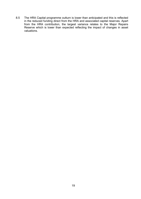8.5 The HRA Capital programme outturn is lower than anticipated and this is reflected in the reduced funding direct from the HRA and associated capital reserves. Apart from the HRA contribution, the largest variance relates to the Major Repairs Reserve which is lower than expected reflecting the impact of changes in asset valuations.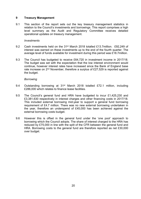## **9 Treasury Management**

9.1 This section of the report sets out the key treasury management statistics in relation to the Council's investments and borrowings. This report comprises a high level summary as the Audit and Regulatory Committee receives detailed operational updates on treasury management.

#### *Investments*

- 9.2 Cash investments held on the 31<sup>st</sup> March 2018 totalled £13.7million. £92,249 of interest was earned on these investments up to the end of the fourth quarter. The average level of funds available for investment during this period was £18.7million.
- 9.3 The Council has budgeted to receive £64,720 in investment income in 2017/18. The budget was set with the expectation that the low interest environment would continue, however interest rates have increased since the Bank of England base rate increase on 2<sup>nd</sup> November, therefore a surplus of £27,529 is reported against the budget.

#### *Borrowing*

- 9.4 Outstanding borrowing at 31st March 2018 totalled £72.1 million, including £286,000 which relates to finance lease facilities.
- 9.5 The Council's general fund and HRA have budgeted to incur £1,425,230 and £3,381,630 respectively in interest charges and other financing costs in 2017/18. This included external borrowing mid-year to support a general fund borrowing requirement of £4.7 million. There was no new external borrowing undertaken in the year, therefore an underspend of £45,000 has been achieved against the external borrowing costs budget.
- 9.6 However this is offset in the general fund under the 'one pool' approach to borrowing which the Council adopts. The share of interest charged to the HRA has reduced by £75,000 in line with the split of the CFR between the general fund and HRA. Borrowing costs to the general fund are therefore reported as net £30,000 over budget.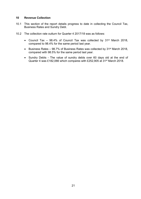#### **10 Revenue Collection**

- 10.1 This section of the report details progress to date in collecting the Council Tax, Business Rates and Sundry Debt.
- 10.2 The collection rate outturn for Quarter 4 2017/18 was as follows:
	- Council Tax  $-$  98.4% of Council Tax was collected by 31<sup>st</sup> March 2018, compared to 98.4% for the same period last year.
	- Business Rates 98.7% of Business Rates was collected by 31<sup>st</sup> March 2018, compared with 98.5% for the same period last year.
	- Sundry Debts The value of sundry debts over 60 days old at the end of Quarter 4 was £182,066 which compares with £252,905 at 31st March 2018.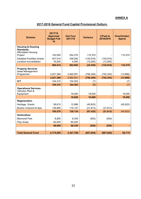# **ANNEX A**

| 2017-2018 General Fund Capital Provisional Outturn |
|----------------------------------------------------|
|----------------------------------------------------|

| <b>Scheme</b>                                                                                                                                           | 2017/18<br><b>Approved</b><br><b>Budget Feb</b><br>18 | <b>Out-Turn</b><br>2017/18  | <b>Variance</b>                   | <b>C/Fwd to</b><br>2018/2019 | <b>Over/(Under)</b><br><b>Spend</b> |
|---------------------------------------------------------------------------------------------------------------------------------------------------------|-------------------------------------------------------|-----------------------------|-----------------------------------|------------------------------|-------------------------------------|
| <b>Housing &amp; Housing</b><br><b>Standards</b><br>Affordable Housing<br>Project<br><b>Disabled Facilities Grants</b><br><b>Landlord Accreditation</b> | 142,000<br>427,510<br>16,000                          | 252,370<br>306,592<br>4,000 | 110,370<br>(120, 918)<br>(12,000) | (120, 918)<br>(12,000)       | 110,370                             |
|                                                                                                                                                         | 585,510                                               | 562,962                     | (22, 548)                         | (132, 918)                   | 110,370                             |
| <b>Property Services</b><br><b>Asset Management</b><br>Programme                                                                                        | 3,221,360                                             | 2,465,051                   | (756, 309)                        | (742, 343)                   | (13,966)                            |
|                                                                                                                                                         | 3,221,360                                             | 2,465,051                   | (756, 309)                        | (742, 343)                   | (13,966)                            |
| <b>ICT</b>                                                                                                                                              | 104,310                                               | 104,303                     | (7)                               |                              | (7)                                 |
|                                                                                                                                                         | 104,310                                               | 104,303                     | (7)                               |                              | (7)                                 |
| <b>Operational Services</b><br>Vehicles Plant &<br>Equipment                                                                                            |                                                       | 19,000                      | 19,000                            |                              | 19,000                              |
|                                                                                                                                                         |                                                       | 19,000                      | 19,000                            |                              | 19,000                              |
| Regeneration                                                                                                                                            |                                                       |                             |                                   |                              |                                     |
| Heritage Grants                                                                                                                                         | 58,610                                                | 12,988                      | (45, 622)                         |                              | (45, 622)                           |
| <b>Buxton Crescent &amp; Spa</b>                                                                                                                        | 136,960                                               | 115,147                     | (21, 813)                         | (21, 813)                    |                                     |
|                                                                                                                                                         | 195,570                                               | 128,135                     | (67, 435)                         | (21, 813)                    | (45, 622)                           |
| <b>Horticulture</b>                                                                                                                                     |                                                       |                             |                                   |                              |                                     |
| <b>Memorial Park</b>                                                                                                                                    | 8,900                                                 | 8,345                       | (555)                             | (555)                        |                                     |
| Play Areas                                                                                                                                              | 60,000                                                | 60,000                      |                                   |                              |                                     |
|                                                                                                                                                         | 68,900                                                | 68,345                      | (555)                             | (555)                        |                                     |
|                                                                                                                                                         |                                                       |                             |                                   |                              |                                     |
| <b>Total General Fund</b>                                                                                                                               | 4,175,650                                             | 3,347,796                   | (827, 854)                        | (897, 629)                   | 69,775                              |